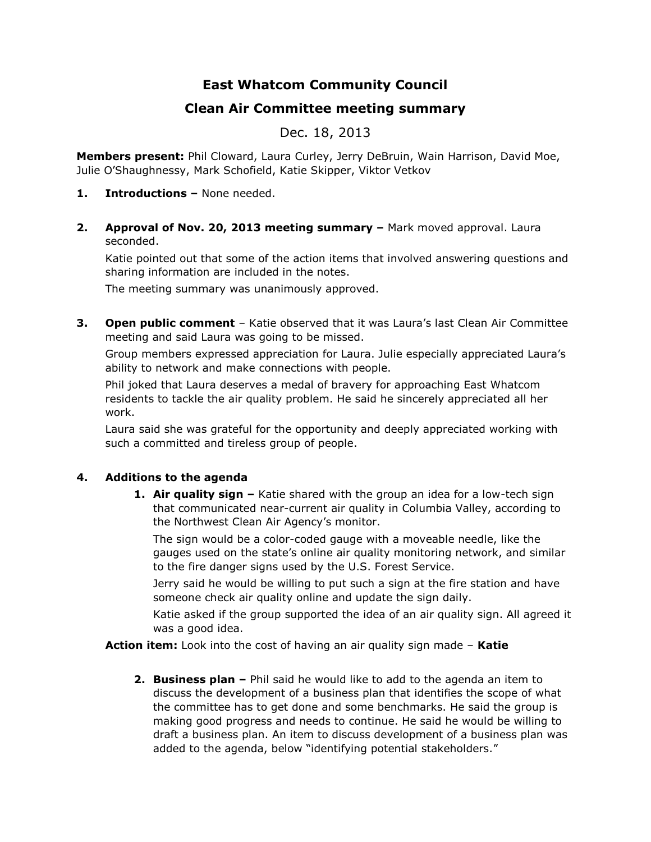# **East Whatcom Community Council**

## **Clean Air Committee meeting summary**

## Dec. 18, 2013

**Members present:** Phil Cloward, Laura Curley, Jerry DeBruin, Wain Harrison, David Moe, Julie O'Shaughnessy, Mark Schofield, Katie Skipper, Viktor Vetkov

- **1. Introductions –** None needed.
- **2. Approval of Nov. 20, 2013 meeting summary –** Mark moved approval. Laura seconded.

Katie pointed out that some of the action items that involved answering questions and sharing information are included in the notes.

The meeting summary was unanimously approved.

**3. Open public comment** – Katie observed that it was Laura's last Clean Air Committee meeting and said Laura was going to be missed.

Group members expressed appreciation for Laura. Julie especially appreciated Laura's ability to network and make connections with people.

Phil joked that Laura deserves a medal of bravery for approaching East Whatcom residents to tackle the air quality problem. He said he sincerely appreciated all her work.

Laura said she was grateful for the opportunity and deeply appreciated working with such a committed and tireless group of people.

### **4. Additions to the agenda**

**1. Air quality sign –** Katie shared with the group an idea for a low-tech sign that communicated near-current air quality in Columbia Valley, according to the Northwest Clean Air Agency's monitor.

The sign would be a color-coded gauge with a moveable needle, like the gauges used on the state's online air quality monitoring network, and similar to the fire danger signs used by the U.S. Forest Service.

Jerry said he would be willing to put such a sign at the fire station and have someone check air quality online and update the sign daily.

Katie asked if the group supported the idea of an air quality sign. All agreed it was a good idea.

**Action item:** Look into the cost of having an air quality sign made – **Katie**

**2. Business plan –** Phil said he would like to add to the agenda an item to discuss the development of a business plan that identifies the scope of what the committee has to get done and some benchmarks. He said the group is making good progress and needs to continue. He said he would be willing to draft a business plan. An item to discuss development of a business plan was added to the agenda, below "identifying potential stakeholders."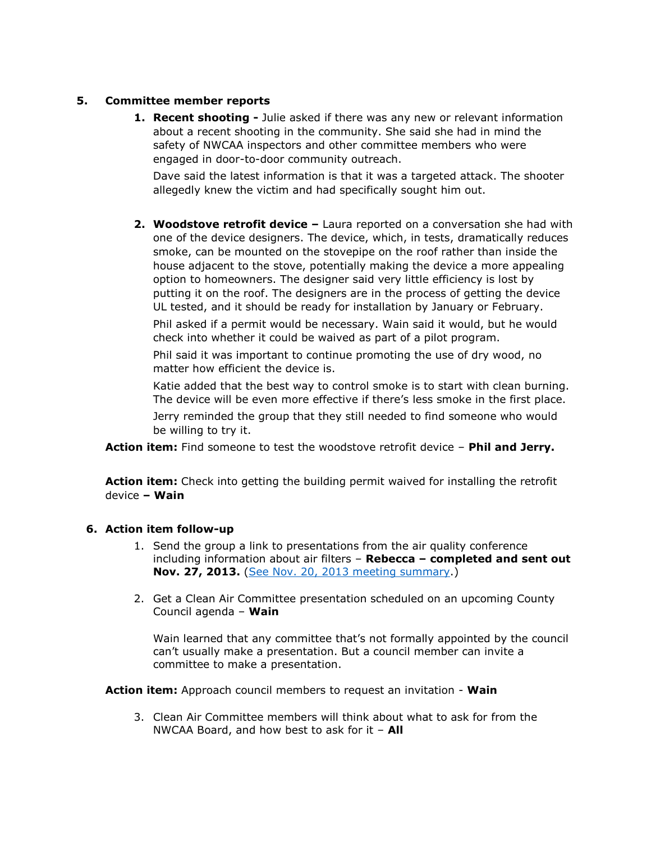#### **5. Committee member reports**

**1. Recent shooting -** Julie asked if there was any new or relevant information about a recent shooting in the community. She said she had in mind the safety of NWCAA inspectors and other committee members who were engaged in door-to-door community outreach.

Dave said the latest information is that it was a targeted attack. The shooter allegedly knew the victim and had specifically sought him out.

**2. Woodstove retrofit device –** Laura reported on a conversation she had with one of the device designers. The device, which, in tests, dramatically reduces smoke, can be mounted on the stovepipe on the roof rather than inside the house adjacent to the stove, potentially making the device a more appealing option to homeowners. The designer said very little efficiency is lost by putting it on the roof. The designers are in the process of getting the device UL tested, and it should be ready for installation by January or February.

Phil asked if a permit would be necessary. Wain said it would, but he would check into whether it could be waived as part of a pilot program.

Phil said it was important to continue promoting the use of dry wood, no matter how efficient the device is.

Katie added that the best way to control smoke is to start with clean burning. The device will be even more effective if there's less smoke in the first place.

Jerry reminded the group that they still needed to find someone who would be willing to try it.

**Action item:** Find someone to test the woodstove retrofit device – **Phil and Jerry.**

**Action item:** Check into getting the building permit waived for installing the retrofit device **– Wain**

#### **6. Action item follow-up**

- 1. Send the group a link to presentations from the air quality conference including information about air filters – **Rebecca – completed and sent out Nov. 27, 2013.** [\(See Nov. 20, 2013 meeting summary.](http://www.nwcleanair.org/pdf/news/events/Meetings/2013-11-20-CVmtgNotes.pdf))
- 2. Get a Clean Air Committee presentation scheduled on an upcoming County Council agenda – **Wain**

Wain learned that any committee that's not formally appointed by the council can't usually make a presentation. But a council member can invite a committee to make a presentation.

**Action item:** Approach council members to request an invitation - **Wain**

3. Clean Air Committee members will think about what to ask for from the NWCAA Board, and how best to ask for it – **All**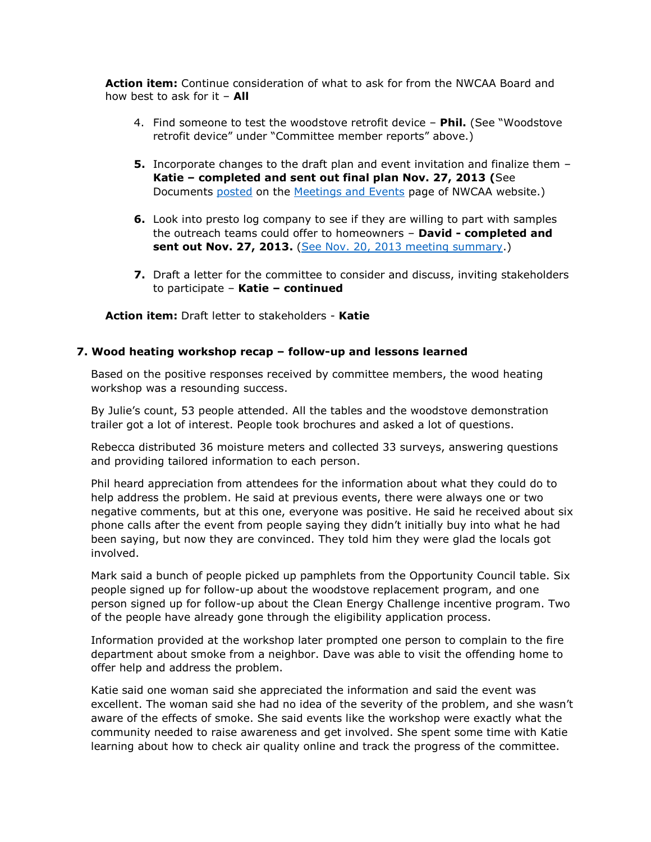**Action item:** Continue consideration of what to ask for from the NWCAA Board and how best to ask for it – **All**

- 4. Find someone to test the woodstove retrofit device **Phil.** (See "Woodstove retrofit device" under "Committee member reports" above.)
- **5.** Incorporate changes to the draft plan and event invitation and finalize them **Katie – completed and sent out final plan Nov. 27, 2013 (**See Documents [posted](http://www.nwcleanair.org/news/documents/CVwinter_outreach_plan_FINAL.pdf) on the [Meetings and Events](http://www.nwcleanair.org/news/meetings.htm) page of NWCAA website.)
- **6.** Look into presto log company to see if they are willing to part with samples the outreach teams could offer to homeowners – **David - completed and sent out Nov. 27, 2013.** [\(See Nov. 20, 2013 meeting summary.](http://www.nwcleanair.org/pdf/news/events/Meetings/2013-11-20-CVmtgNotes.pdf))
- **7.** Draft a letter for the committee to consider and discuss, inviting stakeholders to participate – **Katie – continued**

**Action item:** Draft letter to stakeholders - **Katie**

#### **7. Wood heating workshop recap – follow-up and lessons learned**

Based on the positive responses received by committee members, the wood heating workshop was a resounding success.

By Julie's count, 53 people attended. All the tables and the woodstove demonstration trailer got a lot of interest. People took brochures and asked a lot of questions.

Rebecca distributed 36 moisture meters and collected 33 surveys, answering questions and providing tailored information to each person.

Phil heard appreciation from attendees for the information about what they could do to help address the problem. He said at previous events, there were always one or two negative comments, but at this one, everyone was positive. He said he received about six phone calls after the event from people saying they didn't initially buy into what he had been saying, but now they are convinced. They told him they were glad the locals got involved.

Mark said a bunch of people picked up pamphlets from the Opportunity Council table. Six people signed up for follow-up about the woodstove replacement program, and one person signed up for follow-up about the Clean Energy Challenge incentive program. Two of the people have already gone through the eligibility application process.

Information provided at the workshop later prompted one person to complain to the fire department about smoke from a neighbor. Dave was able to visit the offending home to offer help and address the problem.

Katie said one woman said she appreciated the information and said the event was excellent. The woman said she had no idea of the severity of the problem, and she wasn't aware of the effects of smoke. She said events like the workshop were exactly what the community needed to raise awareness and get involved. She spent some time with Katie learning about how to check air quality online and track the progress of the committee.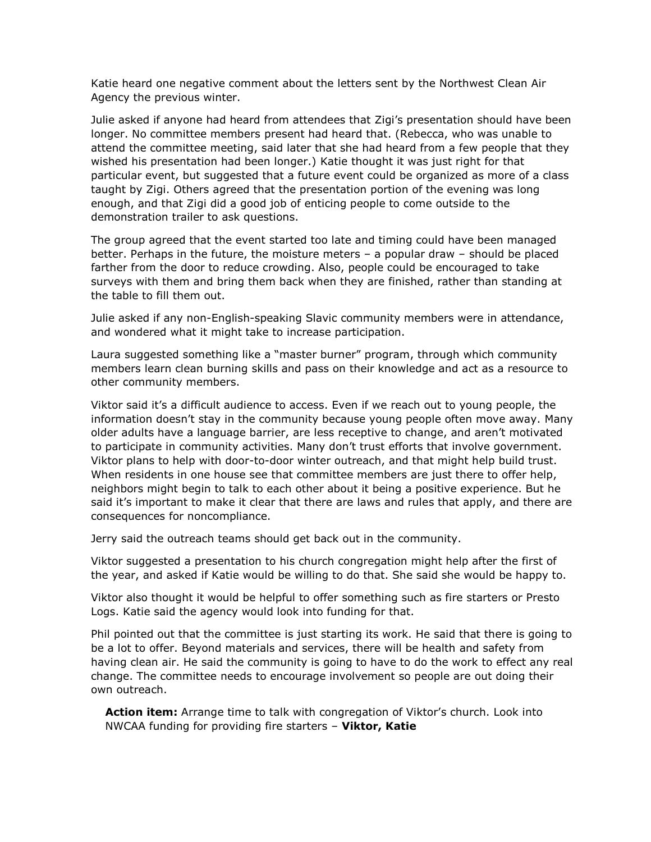Katie heard one negative comment about the letters sent by the Northwest Clean Air Agency the previous winter.

Julie asked if anyone had heard from attendees that Zigi's presentation should have been longer. No committee members present had heard that. (Rebecca, who was unable to attend the committee meeting, said later that she had heard from a few people that they wished his presentation had been longer.) Katie thought it was just right for that particular event, but suggested that a future event could be organized as more of a class taught by Zigi. Others agreed that the presentation portion of the evening was long enough, and that Zigi did a good job of enticing people to come outside to the demonstration trailer to ask questions.

The group agreed that the event started too late and timing could have been managed better. Perhaps in the future, the moisture meters – a popular draw – should be placed farther from the door to reduce crowding. Also, people could be encouraged to take surveys with them and bring them back when they are finished, rather than standing at the table to fill them out.

Julie asked if any non-English-speaking Slavic community members were in attendance, and wondered what it might take to increase participation.

Laura suggested something like a "master burner" program, through which community members learn clean burning skills and pass on their knowledge and act as a resource to other community members.

Viktor said it's a difficult audience to access. Even if we reach out to young people, the information doesn't stay in the community because young people often move away. Many older adults have a language barrier, are less receptive to change, and aren't motivated to participate in community activities. Many don't trust efforts that involve government. Viktor plans to help with door-to-door winter outreach, and that might help build trust. When residents in one house see that committee members are just there to offer help, neighbors might begin to talk to each other about it being a positive experience. But he said it's important to make it clear that there are laws and rules that apply, and there are consequences for noncompliance.

Jerry said the outreach teams should get back out in the community.

Viktor suggested a presentation to his church congregation might help after the first of the year, and asked if Katie would be willing to do that. She said she would be happy to.

Viktor also thought it would be helpful to offer something such as fire starters or Presto Logs. Katie said the agency would look into funding for that.

Phil pointed out that the committee is just starting its work. He said that there is going to be a lot to offer. Beyond materials and services, there will be health and safety from having clean air. He said the community is going to have to do the work to effect any real change. The committee needs to encourage involvement so people are out doing their own outreach.

**Action item:** Arrange time to talk with congregation of Viktor's church. Look into NWCAA funding for providing fire starters – **Viktor, Katie**